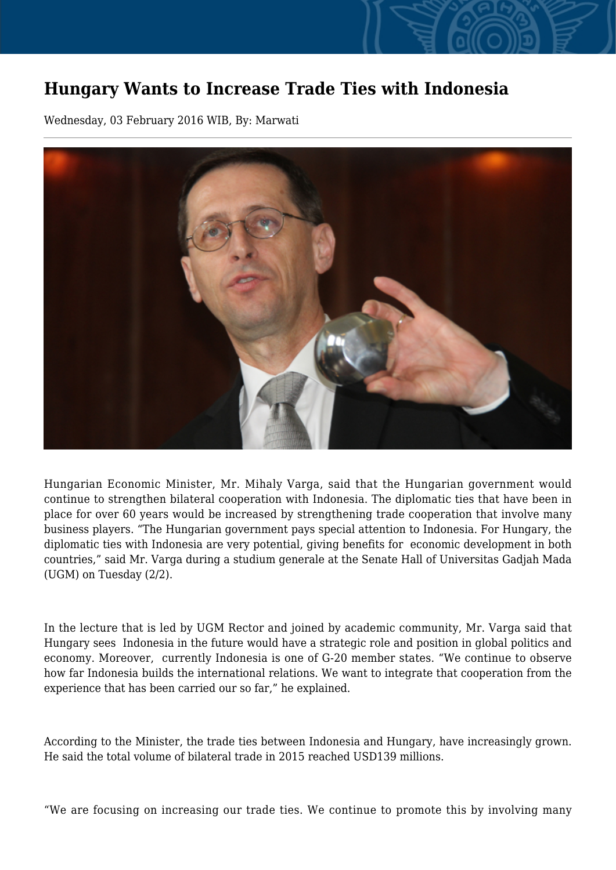## **Hungary Wants to Increase Trade Ties with Indonesia**

Wednesday, 03 February 2016 WIB, By: Marwati



Hungarian Economic Minister, Mr. Mihaly Varga, said that the Hungarian government would continue to strengthen bilateral cooperation with Indonesia. The diplomatic ties that have been in place for over 60 years would be increased by strengthening trade cooperation that involve many business players. "The Hungarian government pays special attention to Indonesia. For Hungary, the diplomatic ties with Indonesia are very potential, giving benefits for economic development in both countries," said Mr. Varga during a studium generale at the Senate Hall of Universitas Gadjah Mada (UGM) on Tuesday (2/2).

In the lecture that is led by UGM Rector and joined by academic community, Mr. Varga said that Hungary sees Indonesia in the future would have a strategic role and position in global politics and economy. Moreover, currently Indonesia is one of G-20 member states. "We continue to observe how far Indonesia builds the international relations. We want to integrate that cooperation from the experience that has been carried our so far," he explained.

According to the Minister, the trade ties between Indonesia and Hungary, have increasingly grown. He said the total volume of bilateral trade in 2015 reached USD139 millions.

"We are focusing on increasing our trade ties. We continue to promote this by involving many